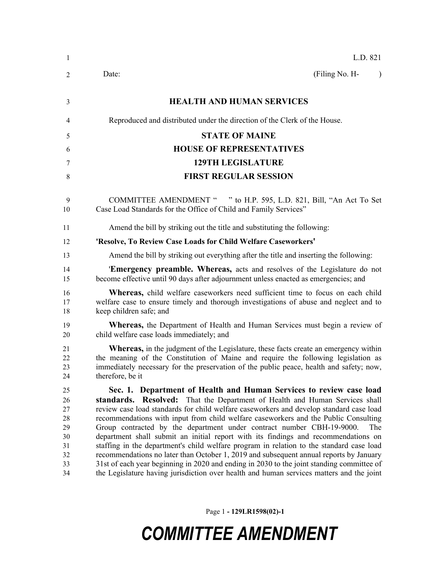| 1                                                        | L.D. 821                                                                                                                                                                                                                                                                                                                                                                                                                                                                                                                                                                                                                                                                                                                                                                                                                                                                                  |
|----------------------------------------------------------|-------------------------------------------------------------------------------------------------------------------------------------------------------------------------------------------------------------------------------------------------------------------------------------------------------------------------------------------------------------------------------------------------------------------------------------------------------------------------------------------------------------------------------------------------------------------------------------------------------------------------------------------------------------------------------------------------------------------------------------------------------------------------------------------------------------------------------------------------------------------------------------------|
| $\overline{2}$                                           | (Filing No. H-<br>Date:<br>$\lambda$                                                                                                                                                                                                                                                                                                                                                                                                                                                                                                                                                                                                                                                                                                                                                                                                                                                      |
| 3                                                        | <b>HEALTH AND HUMAN SERVICES</b>                                                                                                                                                                                                                                                                                                                                                                                                                                                                                                                                                                                                                                                                                                                                                                                                                                                          |
| 4                                                        | Reproduced and distributed under the direction of the Clerk of the House.                                                                                                                                                                                                                                                                                                                                                                                                                                                                                                                                                                                                                                                                                                                                                                                                                 |
| 5                                                        | <b>STATE OF MAINE</b>                                                                                                                                                                                                                                                                                                                                                                                                                                                                                                                                                                                                                                                                                                                                                                                                                                                                     |
| 6                                                        | <b>HOUSE OF REPRESENTATIVES</b>                                                                                                                                                                                                                                                                                                                                                                                                                                                                                                                                                                                                                                                                                                                                                                                                                                                           |
| 7                                                        | <b>129TH LEGISLATURE</b>                                                                                                                                                                                                                                                                                                                                                                                                                                                                                                                                                                                                                                                                                                                                                                                                                                                                  |
| 8                                                        | <b>FIRST REGULAR SESSION</b>                                                                                                                                                                                                                                                                                                                                                                                                                                                                                                                                                                                                                                                                                                                                                                                                                                                              |
| 9<br>10                                                  | COMMITTEE AMENDMENT " " to H.P. 595, L.D. 821, Bill, "An Act To Set<br>Case Load Standards for the Office of Child and Family Services"                                                                                                                                                                                                                                                                                                                                                                                                                                                                                                                                                                                                                                                                                                                                                   |
| 11                                                       | Amend the bill by striking out the title and substituting the following:                                                                                                                                                                                                                                                                                                                                                                                                                                                                                                                                                                                                                                                                                                                                                                                                                  |
| 12                                                       | 'Resolve, To Review Case Loads for Child Welfare Caseworkers'                                                                                                                                                                                                                                                                                                                                                                                                                                                                                                                                                                                                                                                                                                                                                                                                                             |
| 13                                                       | Amend the bill by striking out everything after the title and inserting the following:                                                                                                                                                                                                                                                                                                                                                                                                                                                                                                                                                                                                                                                                                                                                                                                                    |
| 14<br>15                                                 | <b>Emergency preamble. Whereas,</b> acts and resolves of the Legislature do not<br>become effective until 90 days after adjournment unless enacted as emergencies; and                                                                                                                                                                                                                                                                                                                                                                                                                                                                                                                                                                                                                                                                                                                    |
| 16<br>17<br>18                                           | Whereas, child welfare caseworkers need sufficient time to focus on each child<br>welfare case to ensure timely and thorough investigations of abuse and neglect and to<br>keep children safe; and                                                                                                                                                                                                                                                                                                                                                                                                                                                                                                                                                                                                                                                                                        |
| 19<br>20                                                 | <b>Whereas</b> , the Department of Health and Human Services must begin a review of<br>child welfare case loads immediately; and                                                                                                                                                                                                                                                                                                                                                                                                                                                                                                                                                                                                                                                                                                                                                          |
| 21<br>22<br>23<br>24                                     | <b>Whereas,</b> in the judgment of the Legislature, these facts create an emergency within<br>the meaning of the Constitution of Maine and require the following legislation as<br>immediately necessary for the preservation of the public peace, health and safety; now,<br>therefore, be it                                                                                                                                                                                                                                                                                                                                                                                                                                                                                                                                                                                            |
| 25<br>26<br>27<br>28<br>29<br>30<br>31<br>32<br>33<br>34 | Sec. 1. Department of Health and Human Services to review case load<br>standards. Resolved: That the Department of Health and Human Services shall<br>review case load standards for child welfare caseworkers and develop standard case load<br>recommendations with input from child welfare caseworkers and the Public Consulting<br>Group contracted by the department under contract number CBH-19-9000.<br>The<br>department shall submit an initial report with its findings and recommendations on<br>staffing in the department's child welfare program in relation to the standard case load<br>recommendations no later than October 1, 2019 and subsequent annual reports by January<br>31st of each year beginning in 2020 and ending in 2030 to the joint standing committee of<br>the Legislature having jurisdiction over health and human services matters and the joint |

Page 1 **- 129LR1598(02)-1**

## *COMMITTEE AMENDMENT*